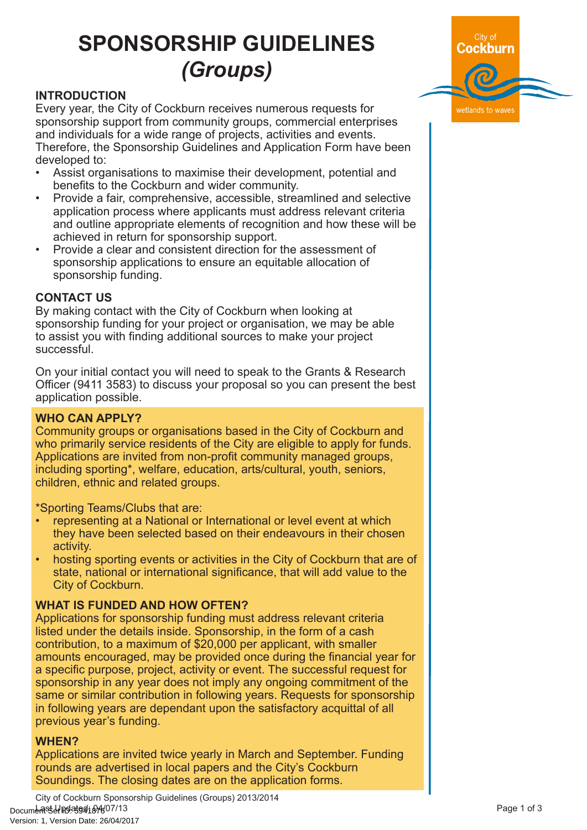# **SPONSORSHIP GUIDELINES** *(Groups)*

## **INTRODUCTION**

Every year, the City of Cockburn receives numerous requests for sponsorship support from community groups, commercial enterprises and individuals for a wide range of projects, activities and events. Therefore, the Sponsorship Guidelines and Application Form have been developed to:

- Assist organisations to maximise their development, potential and benefits to the Cockburn and wider community.
- Provide a fair, comprehensive, accessible, streamlined and selective application process where applicants must address relevant criteria and outline appropriate elements of recognition and how these will be achieved in return for sponsorship support.
- Provide a clear and consistent direction for the assessment of sponsorship applications to ensure an equitable allocation of sponsorship funding.

## **CONTACT US**

By making contact with the City of Cockburn when looking at sponsorship funding for your project or organisation, we may be able to assist you with finding additional sources to make your project successful.

On your initial contact you will need to speak to the Grants & Research Officer (9411 3583) to discuss your proposal so you can present the best application possible.

## **WHO CAN APPLY?**

Community groups or organisations based in the City of Cockburn and who primarily service residents of the City are eligible to apply for funds. Applications are invited from non-profit community managed groups, including sporting\*, welfare, education, arts/cultural, youth, seniors, children, ethnic and related groups.

\*Sporting Teams/Clubs that are:

- representing at a National or International or level event at which they have been selected based on their endeavours in their chosen activity.
- hosting sporting events or activities in the City of Cockburn that are of state, national or international significance, that will add value to the City of Cockburn.

## **WHAT IS FUNDED AND HOW OFTEN?**

Applications for sponsorship funding must address relevant criteria listed under the details inside. Sponsorship, in the form of a cash contribution, to a maximum of \$20,000 per applicant, with smaller amounts encouraged, may be provided once during the financial year for a specific purpose, project, activity or event. The successful request for sponsorship in any year does not imply any ongoing commitment of the same or similar contribution in following years. Requests for sponsorship in following years are dependant upon the satisfactory acquittal of all previous year's funding.

## **WHEN?**

Applications are invited twice yearly in March and September. Funding rounds are advertised in local papers and the City's Cockburn Soundings. The closing dates are on the application forms.

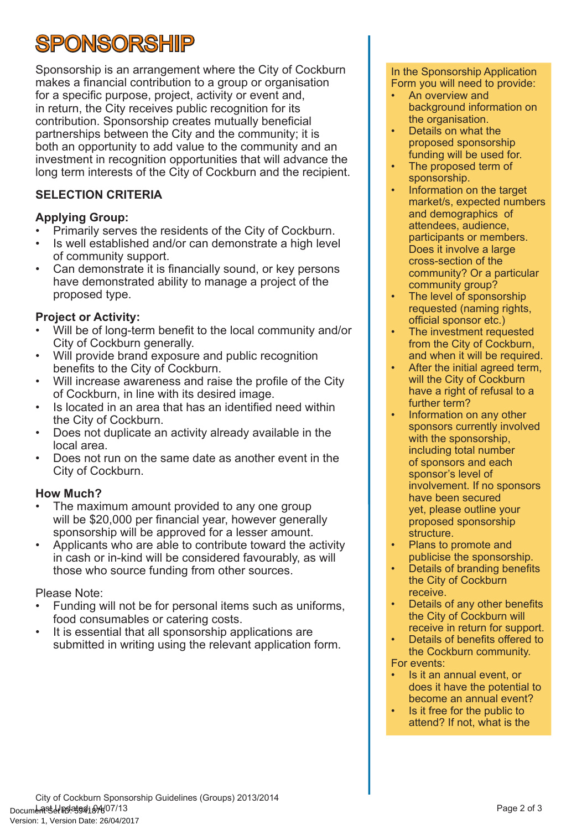# **SPONSORSHIP**

Sponsorship is an arrangement where the City of Cockburn makes a financial contribution to a group or organisation for a specific purpose, project, activity or event and, in return, the City receives public recognition for its contribution. Sponsorship creates mutually beneficial partnerships between the City and the community; it is both an opportunity to add value to the community and an investment in recognition opportunities that will advance the long term interests of the City of Cockburn and the recipient.

# **SELECTION CRITERIA**

# **Applying Group:**

- Primarily serves the residents of the City of Cockburn.
- Is well established and/or can demonstrate a high level of community support.
- Can demonstrate it is financially sound, or key persons have demonstrated ability to manage a project of the proposed type.

# **Project or Activity:**

- Will be of long-term benefit to the local community and/or City of Cockburn generally.
- Will provide brand exposure and public recognition benefits to the City of Cockburn.
- Will increase awareness and raise the profile of the City of Cockburn, in line with its desired image.
- Is located in an area that has an identified need within the City of Cockburn.
- Does not duplicate an activity already available in the local area.
- Does not run on the same date as another event in the City of Cockburn.

# **How Much?**

- The maximum amount provided to any one group will be \$20,000 per financial year, however generally sponsorship will be approved for a lesser amount.
- Applicants who are able to contribute toward the activity in cash or in-kind will be considered favourably, as will those who source funding from other sources.

# Please Note:

- Funding will not be for personal items such as uniforms, food consumables or catering costs.
- It is essential that all sponsorship applications are submitted in writing using the relevant application form.

#### In the Sponsorship Application Form you will need to provide:

- An overview and background information on the organisation.
- Details on what the proposed sponsorship funding will be used for.
- The proposed term of sponsorship.
- Information on the target market/s, expected numbers and demographics of attendees, audience, participants or members. Does it involve a large cross-section of the community? Or a particular community group?
- The level of sponsorship requested (naming rights, official sponsor etc.)
- The investment requested from the City of Cockburn, and when it will be required.
- After the initial agreed term. will the City of Cockburn have a right of refusal to a further term?
- Information on any other sponsors currently involved with the sponsorship, including total number of sponsors and each sponsor's level of involvement. If no sponsors have been secured yet, please outline your proposed sponsorship structure.
- Plans to promote and publicise the sponsorship.
- Details of branding benefits the City of Cockburn receive.
- Details of any other benefits the City of Cockburn will receive in return for support.
- Details of benefits offered to the Cockburn community. For events:
- Is it an annual event, or does it have the potential to become an annual event?
- Is it free for the public to attend? If not, what is the